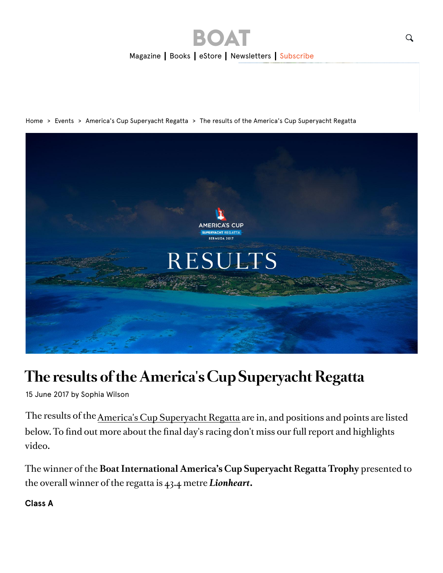





### **The results of the America's Cup Superyacht Regatta**

15 June 2017 by Sophia Wilson

The results of the America's Cup Superyacht Regatta are in, and positions and points are listed below. To find out more about the final day's racing don't miss our full report and highlights video.

The winner of the **Boat International America's Cup Superyacht Regatta Trophy** presented to the overall winner of the regatta is 43.4 metre *Lionheart***.**

#### **Class A**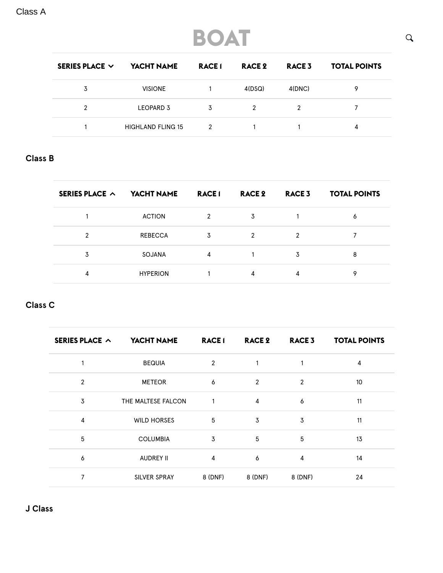Class A

## **BOAT**

| SERIES PLACE $\vee$ | YACHT NAME          | <b>RACE1</b> | RACE 2 | RACE <sub>3</sub> | <b>TOTAL POINTS</b> |
|---------------------|---------------------|--------------|--------|-------------------|---------------------|
| 3                   | <b>VISIONE</b>      |              | 4(DSQ) | 4(DNC)            | Q                   |
| 2                   | LEOPARD 3           | 3            | 2      |                   |                     |
|                     | HIGHI AND FI ING 15 | 2            |        |                   | 4                   |

### **Class B**

| SERIES PLACE $\sim$ | YACHT NAME      | <b>RACE1</b>  | RACE 2 | RACE <sub>3</sub> | <b>TOTAL POINTS</b> |
|---------------------|-----------------|---------------|--------|-------------------|---------------------|
|                     | <b>ACTION</b>   | $\mathcal{P}$ | 3      |                   | 6                   |
| 2                   | <b>REBECCA</b>  | 3             | 2      | າ                 |                     |
| 3                   | SOJANA          | 4             |        | 3                 | 8                   |
| 4                   | <b>HYPERION</b> |               | 4      | 4                 | o                   |

### **Class C**

| SERIES PLACE $\sim$ | YACHT NAME         | <b>RACE1</b>   | <b>RACE 2</b>  | <b>RACE 3</b>  | <b>TOTAL POINTS</b> |
|---------------------|--------------------|----------------|----------------|----------------|---------------------|
| 1                   | <b>BEQUIA</b>      | $\overline{2}$ | $\mathbf{1}$   | 1              | 4                   |
| $\overline{2}$      | <b>METEOR</b>      | 6              | $\overline{2}$ | $\overline{2}$ | 10                  |
| 3                   | THE MALTESE FALCON | $\mathbf{1}$   | $\overline{4}$ | 6              | 11                  |
| 4                   | <b>WILD HORSES</b> | 5              | 3              | 3              | 11                  |
| 5                   | <b>COLUMBIA</b>    | 3              | 5              | 5              | 13                  |
| 6                   | <b>AUDREY II</b>   | 4              | 6              | $\overline{4}$ | 14                  |
| 7                   | SILVER SPRAY       | 8 (DNF)        | 8 (DNF)        | 8 (DNF)        | 24                  |